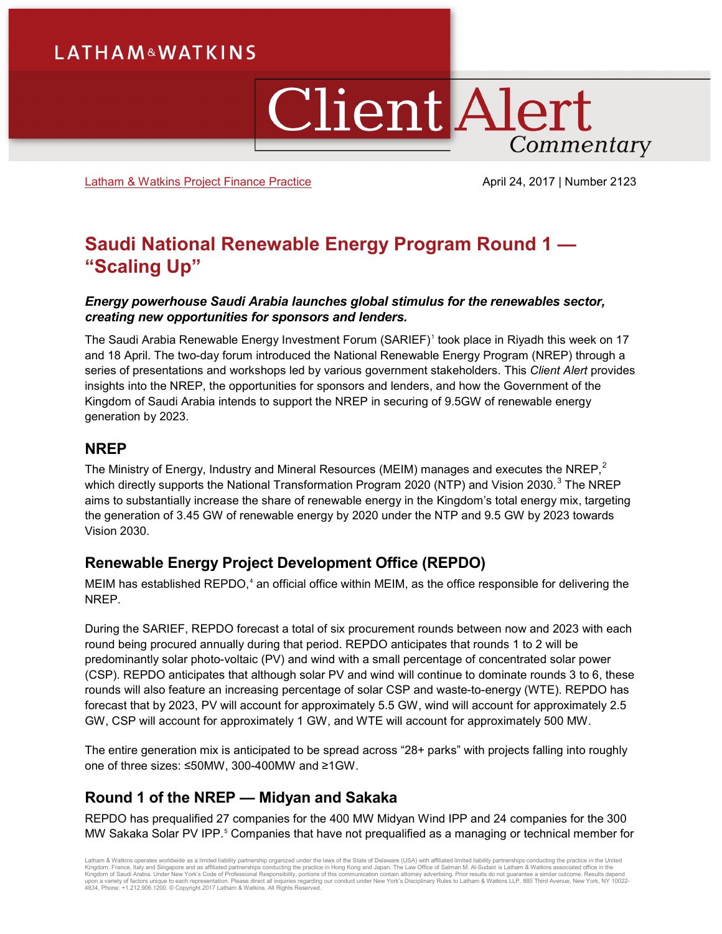# **LATHAM&WATKINS**

# **Client Alert** Commentary

[Latham & Watkins Project Finance](https://www.lw.com/practices/ProjectDevelopmentAndFinance) Practice **April 24, 2017 | Number 2123** 

# **Saudi National Renewable Energy Program Round 1 — "Scaling Up"**

### *Energy powerhouse Saudi Arabia launches global stimulus for the renewables sector, creating new opportunities for sponsors and lenders.*

The Saudi Arabia Renewable Energy Investment Forum (SARIEF)[1](#page-3-0) took place in Riyadh this week on 17 and 18 April. The two-day forum introduced the National Renewable Energy Program (NREP) through a series of presentations and workshops led by various government stakeholders. This *Client Alert* provides insights into the NREP, the opportunities for sponsors and lenders, and how the Government of the Kingdom of Saudi Arabia intends to support the NREP in securing of 9.5GW of renewable energy generation by 2023.

## **NREP**

The Ministry of Energy, Industry and Mineral Resources (MEIM) manages and executes the NREP,<sup>[2](#page-3-1)</sup> which directly supports the National Transformation Program 2020 (NTP) and Vision 20[3](#page-3-2)0.<sup>3</sup> The NREP aims to substantially increase the share of renewable energy in the Kingdom's total energy mix, targeting the generation of 3.45 GW of renewable energy by 2020 under the NTP and 9.5 GW by 2023 towards Vision 2030.

# **Renewable Energy Project Development Office (REPDO)**

MEIM has established REPDO,<sup>[4](#page-3-3)</sup> an official office within MEIM, as the office responsible for delivering the NREP.

During the SARIEF, REPDO forecast a total of six procurement rounds between now and 2023 with each round being procured annually during that period. REPDO anticipates that rounds 1 to 2 will be predominantly solar photo-voltaic (PV) and wind with a small percentage of concentrated solar power (CSP). REPDO anticipates that although solar PV and wind will continue to dominate rounds 3 to 6, these rounds will also feature an increasing percentage of solar CSP and waste-to-energy (WTE). REPDO has forecast that by 2023, PV will account for approximately 5.5 GW, wind will account for approximately 2.5 GW, CSP will account for approximately 1 GW, and WTE will account for approximately 500 MW.

The entire generation mix is anticipated to be spread across "28+ parks" with projects falling into roughly one of three sizes: ≤50MW, 300-400MW and ≥1GW.

# **Round 1 of the NREP — Midyan and Sakaka**

REPDO has prequalified 27 companies for the 400 MW Midyan Wind IPP and 24 companies for the 300 MW Sakaka Solar PV IPP.<sup>[5](#page-3-4)</sup> Companies that have not prequalified as a managing or technical member for

Latham & Watkins operates wordwide as a limited liability partnership organized under the laws of the State of Delaware (USA) with affiliated plimited liability partnerships conducting the practice in the United Limited Li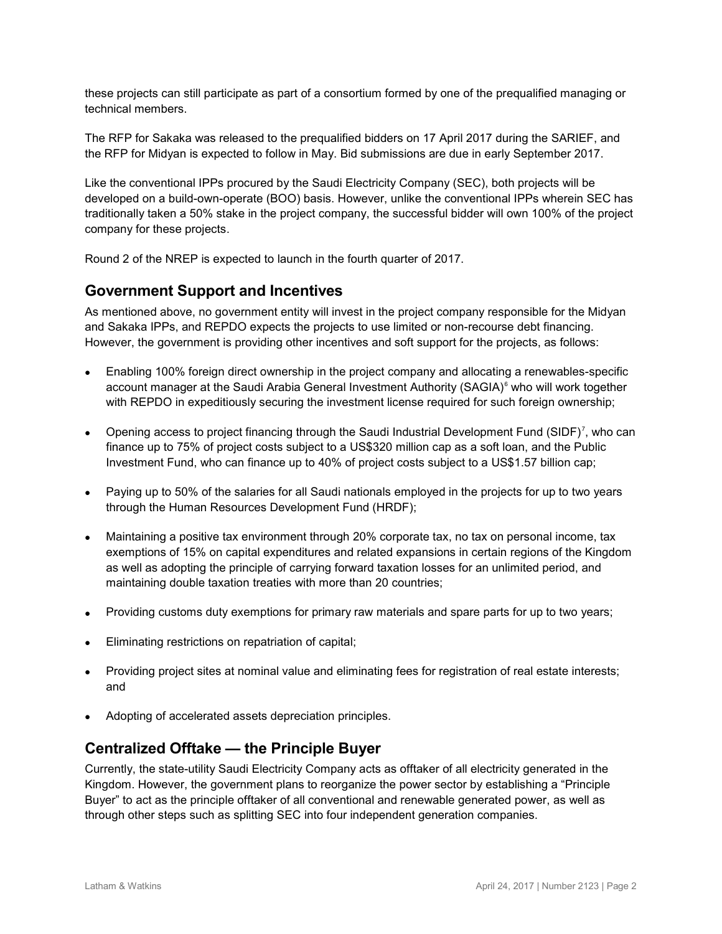these projects can still participate as part of a consortium formed by one of the prequalified managing or technical members.

The RFP for Sakaka was released to the prequalified bidders on 17 April 2017 during the SARIEF, and the RFP for Midyan is expected to follow in May. Bid submissions are due in early September 2017.

Like the conventional IPPs procured by the Saudi Electricity Company (SEC), both projects will be developed on a build-own-operate (BOO) basis. However, unlike the conventional IPPs wherein SEC has traditionally taken a 50% stake in the project company, the successful bidder will own 100% of the project company for these projects.

Round 2 of the NREP is expected to launch in the fourth quarter of 2017.

# **Government Support and Incentives**

As mentioned above, no government entity will invest in the project company responsible for the Midyan and Sakaka IPPs, and REPDO expects the projects to use limited or non-recourse debt financing. However, the government is providing other incentives and soft support for the projects, as follows:

- Enabling 100% foreign direct ownership in the project company and allocating a renewables-specific account manager at the Saudi Arabia General Investment Authority (SAGIA)<sup>[6](#page-3-5)</sup> who will work together with REPDO in expeditiously securing the investment license required for such foreign ownership;
- Opening access to project financing through the Saudi Industrial Development Fund (SIDF)<sup>[7](#page-3-6)</sup>, who can finance up to 75% of project costs subject to a US\$320 million cap as a soft loan, and the Public Investment Fund, who can finance up to 40% of project costs subject to a US\$1.57 billion cap;
- Paying up to 50% of the salaries for all Saudi nationals employed in the projects for up to two years through the Human Resources Development Fund (HRDF);
- Maintaining a positive tax environment through 20% corporate tax, no tax on personal income, tax exemptions of 15% on capital expenditures and related expansions in certain regions of the Kingdom as well as adopting the principle of carrying forward taxation losses for an unlimited period, and maintaining double taxation treaties with more than 20 countries;
- Providing customs duty exemptions for primary raw materials and spare parts for up to two years;
- Eliminating restrictions on repatriation of capital;
- Providing project sites at nominal value and eliminating fees for registration of real estate interests; and
- Adopting of accelerated assets depreciation principles.

# **Centralized Offtake — the Principle Buyer**

Currently, the state-utility Saudi Electricity Company acts as offtaker of all electricity generated in the Kingdom. However, the government plans to reorganize the power sector by establishing a "Principle Buyer" to act as the principle offtaker of all conventional and renewable generated power, as well as through other steps such as splitting SEC into four independent generation companies.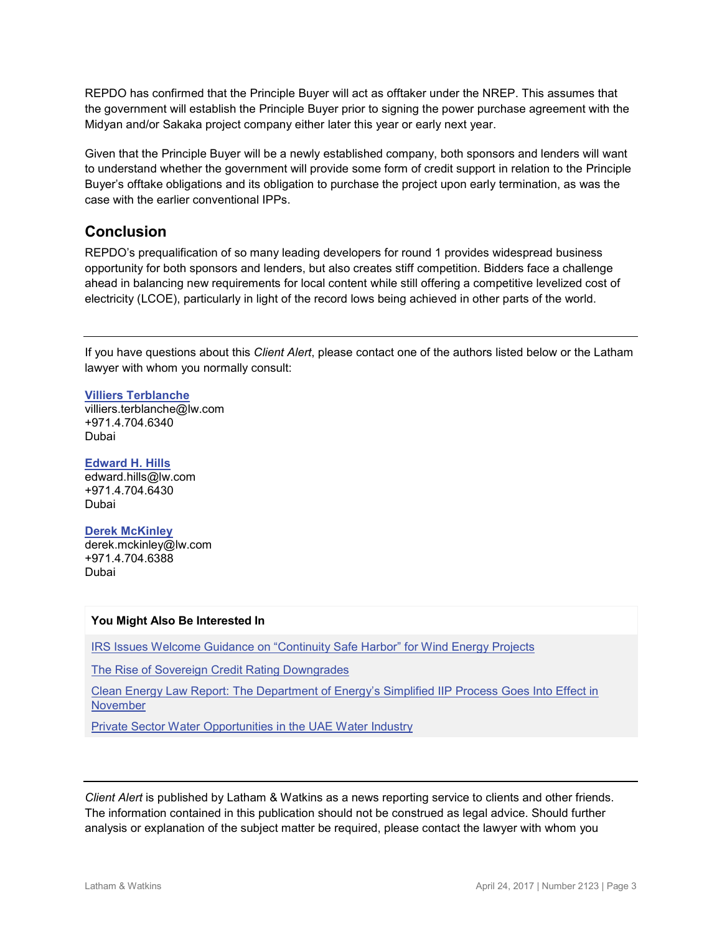REPDO has confirmed that the Principle Buyer will act as offtaker under the NREP. This assumes that the government will establish the Principle Buyer prior to signing the power purchase agreement with the Midyan and/or Sakaka project company either later this year or early next year.

Given that the Principle Buyer will be a newly established company, both sponsors and lenders will want to understand whether the government will provide some form of credit support in relation to the Principle Buyer's offtake obligations and its obligation to purchase the project upon early termination, as was the case with the earlier conventional IPPs.

## **Conclusion**

REPDO's prequalification of so many leading developers for round 1 provides widespread business opportunity for both sponsors and lenders, but also creates stiff competition. Bidders face a challenge ahead in balancing new requirements for local content while still offering a competitive levelized cost of electricity (LCOE), particularly in light of the record lows being achieved in other parts of the world.

If you have questions about this *Client Alert*, please contact one of the authors listed below or the Latham lawyer with whom you normally consult:

#### **[Villiers Terblanche](https://www.lw.com/people/villiers-terblanche)**

[villiers.terblanche@lw.com](mailto:villiers.terblanche@lw.com) +971.4.704.6340 Dubai

#### **[Edward H. Hills](https://www.lw.com/people/edward-hills)**

[edward.hills@lw.com](mailto:edward.hills@lw.com) +971.4.704.6430 Dubai

#### **[Derek McKinley](https://www.lw.com/people/derek-mckinley)**

[derek.mckinley@lw.com](mailto:derek.mckinley@lw.com)  +971.4.704.6388 Dubai

#### **You Might Also Be Interested In**

[IRS Issues Welcome Guidance on "Continuity Safe Harbor" for Wind Energy Projects](https://www.lw.com/thoughtLeadership/LW-IRS-issues-guidance-on-continuity-safe-harbor-for-wind-energy)

[The Rise of Sovereign Credit Rating Downgrades](http://www.latham.london/2016/12/the-rise-of-sovereign-credit-rating-downgrades/?utm_source=feedburner&utm_medium=feed&utm_campaign=Feed%3A+Lathamlondon+%28Latham.London%29)

[Clean Energy Law Report: The Department of Energy's Simplified IIP Process Goes Into Effect in](http://www.cleanenergylawreport.com/finance-and-project-development/the-department-of-energys-simplified-iip-process-goes-into-effect-in-november/)  [November](http://www.cleanenergylawreport.com/finance-and-project-development/the-department-of-energys-simplified-iip-process-goes-into-effect-in-november/)

[Private Sector Water Opportunities in the UAE Water Industry](https://www.lw.com/thoughtLeadership/LW-Private-sector-opportunities-in-the-UAE-water-industry)

*Client Alert* is published by Latham & Watkins as a news reporting service to clients and other friends. The information contained in this publication should not be construed as legal advice. Should further analysis or explanation of the subject matter be required, please contact the lawyer with whom you